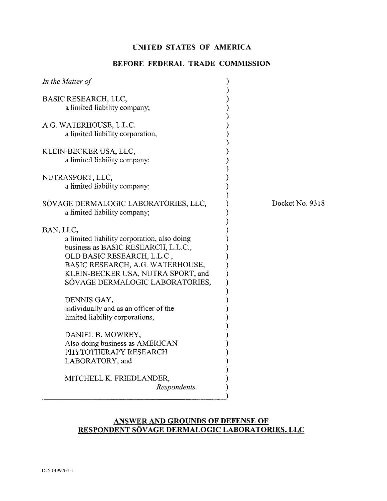# **UNITED STATES OF AMERICA**

# **BEFORE FEDERAL TRADE COMMISSION**

| In the Matter of                                                                                                                                                                                                                            |                 |
|---------------------------------------------------------------------------------------------------------------------------------------------------------------------------------------------------------------------------------------------|-----------------|
| BASIC RESEARCH, LLC,<br>a limited liability company;                                                                                                                                                                                        |                 |
| A.G. WATERHOUSE, L.L.C.<br>a limited liability corporation,                                                                                                                                                                                 |                 |
| KLEIN-BECKER USA, LLC,<br>a limited liability company;                                                                                                                                                                                      |                 |
| NUTRASPORT, LLC,<br>a limited liability company;                                                                                                                                                                                            |                 |
| SÖVAGE DERMALOGIC LABORATORIES, LLC,<br>a limited liability company;                                                                                                                                                                        | Docket No. 9318 |
| BAN, LLC,<br>a limited liability corporation, also doing<br>business as BASIC RESEARCH, L.L.C.,<br>OLD BASIC RESEARCH, L.L.C.,<br>BASIC RESEARCH, A.G. WATERHOUSE,<br>KLEIN-BECKER USA, NUTRA SPORT, and<br>SÖVAGE DERMALOGIC LABORATORIES, |                 |
| DENNIS GAY,<br>individually and as an officer of the<br>limited liability corporations,                                                                                                                                                     |                 |
| DANIEL B. MOWREY,<br>Also doing business as AMERICAN<br>PHYTOTHERAPY RESEARCH<br>LABORATORY, and                                                                                                                                            |                 |
| MITCHELL K. FRIEDLANDER,<br>Respondents.                                                                                                                                                                                                    |                 |

## **ANSWER AND GROUNDS OF DEFENSE OF RESPONDENT SOVAGE DERMALOGIC LABORATORIES, LLC**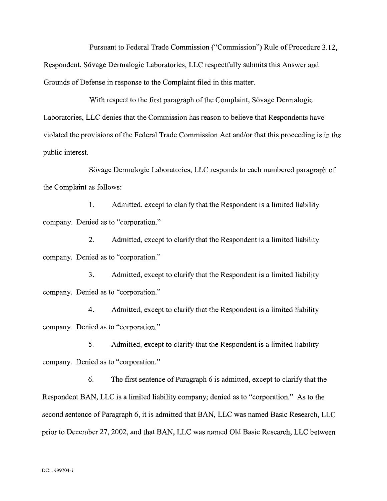Pursuant to Federal Trade Commission ("Commission") Rule of Procedure 3.12, Respondent, Sövage Dermalogic Laboratories, LLC respectfully submits this Answer and Grounds of Defense in response to the Complaint filed in this matter.

With respect to the first paragraph of the Complaint, Sövage Dermalogic Laboratories, LLC denies that the Commission has reason to believe that Respondents have violated the provisions of the Federal Trade Commission Act and/or that this proceeding is in the public interest.

Sövage Dermalogic Laboratories, LLC responds to each numbered paragraph of the complaint as follows:

**1.** Admitted, except to clarify that the Respondent is a limited liability company. Denied as to "corporation."

2. Admitted, except to clarify that the Respondent is a limited liability company. Denied as to "corporation."

**3.** Admitted, except to clarify that the Respondent is a limited liability company. Denied as to "corporation."

4. Admitted, except to clarify that the Respondent is a limited liability company. Denied as to "corporation."

*5.* Admitted, except to clarify that the Respondent is a limited liability company. Denied as to "corporation."

*6.* The first sentence of Paragraph 6 is admitted, except to clarify that the Respondent BAN, LLC is a limited liability company; denied as to "corporation." As to the second sentence of Paragraph 6, it is admitted that BAN, LLC was named Basic Research, LLC prior to December 27,2002, and that BAN, LLC was named Old Basic Research, LLC between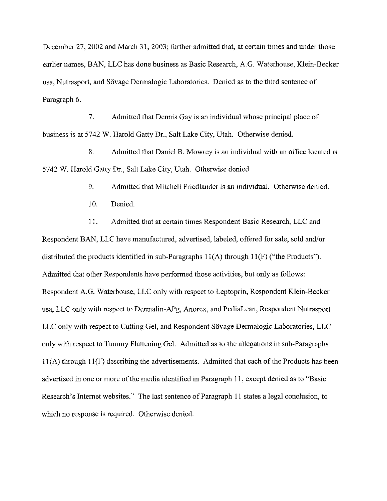December 27,2002 and March 31,2003; further admitted that, at certain times and under those earlier names, BAN, LLC has done business as Basic Research, A.G. Waterhouse, Klein-Becker usa, Nutrasport, and Sovage Dermalogic Laboratories. Denied as to the third sentence of Paragraph *6.* 

7. Admitted that Dennis Gay is an individual whose principal place of business is at 5742 W. Harold Gatty Dr., Salt Lake City, Utah. Otherwise denied.

8. Admitted that Daniel B. Mowrey is an individual with an office located at 5742 W. Harold Gatty Dr., Salt Lake City, Utah. Otherwise denied.

9. Admitted that Mitchell Friedlander is an individual. Otherwise denied.

10. Denied.

11. Admitted that at certain times Respondent Basic Research, LLC and Respondent BAN, LLC have manufactured, advertised, labeled, offered for sale, sold and/or distributed the products identified in sub-Paragraphs 11(A) through 11(F) ("the Products"). Admitted that other Respondents have performed those activities, but only as follows: Respondent A.G. Waterhouse, LLC only with respect to Leptoprin, Respondent Klein-Becker usa, LLC only with respect to Dermalin-APg, Anorex, and PediaLean, Respondent Nutrasport LLC only with respect to Cutting Gel, and Respondent Sövage Dermalogic Laboratories, LLC only with respect to Tummy Flattening Gel. Admitted as to the allegations in sub-Paragraphs 11(A) through 11(F) describing the advertisements. Admitted that each of the Products has been advertised in one or more of the media identified in Paragraph 11, except denied as to "Basic Research's Internet websites." The last sentence of Paragraph 11 states a legal conclusion, to which no response is required. Otherwise denied.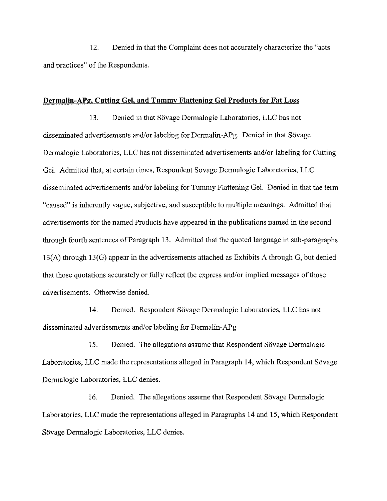12. Denied in that the Complaint does not accurately characterize the "acts and practices" of the Respondents.

## **Dermalin-APg, Cutting Gel, and Tummy Flattening Gel Products for Fat Loss**

13. Denied in that Sövage Dermalogic Laboratories, LLC has not disseminated advertisements and/or labeling for Dermalin-APg. Denied in that Sövage Dermalogic Laboratories, LLC has not disseminated advertisements and/or labeling for Cutting Gel. Admitted that, at certain times, Respondent Sovage Dermalogic Laboratories, LLC disseminated advertisements and/or labeling for Tummy Flattening Gel. Denied in that the term "caused" is inherently vague, subjective, and susceptible to multiple meanings. Admitted that advertisements for the named Products have appeared in the publications named in the second through fourth sentences of Paragraph 13. Admitted that the quoted language in sub-paragraphs 13(A) through 13(G) appear in the advertisements attached as Exhibits A through G, but denied that those quotations accurately or fully reflect the express and/or implied messages of those advertisements. Otherwise denied.

14. Denied. Respondent Sövage Dermalogic Laboratories, LLC has not disseminated advertisements and/or labeling for Dermalin-APg

15. Denied. The allegations assume that Respondent Sövage Dermalogic Laboratories, LLC made the representations alleged in Paragraph 14, which Respondent Sövage Dermalogic Laboratories, LLC denies.

16. Denied. The allegations assume that Respondent Sövage Dermalogic Laboratories, LLC made the representations alleged in Paragraphs 14 and 15, which Respondent Sövage Dermalogic Laboratories, LLC denies.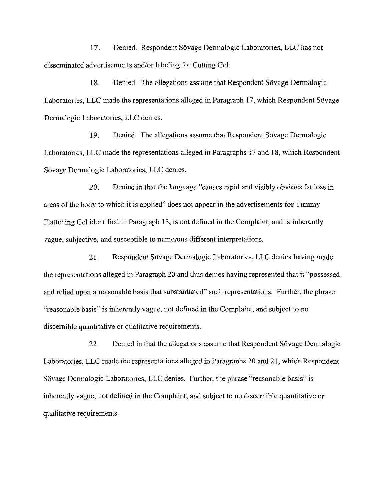17. Denied. Respondent Sövage Dermalogic Laboratories, LLC has not disseminated advertisements and/or labeling for Cutting Gel.

18. Denied. The allegations assume that Respondent Sövage Dermalogic Laboratories, LLC made the representations alleged in Paragraph 17, which Respondent Sövage Dermalogic Laboratories, LLC denies.

19. Denied. The allegations assume that Respondent Sövage Dermalogic Laboratories, LLC made the representations alleged in Paragraphs 17 and 18, which Respondent Sövage Dermalogic Laboratories, LLC denies.

20. Denied in that the language "causes rapid and visibly obvious fat loss in areas of the body to which it is applied" does not appear in the advertisements for Tummy Flattening Gel identified in Paragraph 13, is not defined in the Complaint, and is inherently vague, subjective, and susceptible to numerous different interpretations.

21. Respondent Sövage Dermalogic Laboratories, LLC denies having made the representations alleged in Paragraph 20 and thus denies having represented that it "possessed and relied upon a reasonable basis that substantiated" such representations. Further, the phrase "reasonable basis" is inherently vague, not defined in the Complaint, and subject to no discemible quantitative or qualitative requirements.

22. Denied in that the allegations assume that Respondent Sovage Dermalogic Laboratories, LLC made the representations alleged in Paragraphs 20 and 2 1, which Respondent Sövage Dermalogic Laboratories, LLC denies. Further, the phrase "reasonable basis" is inherently vague, not defined in the Complaint, and subject to no discemible quantitative or qualitative requirements.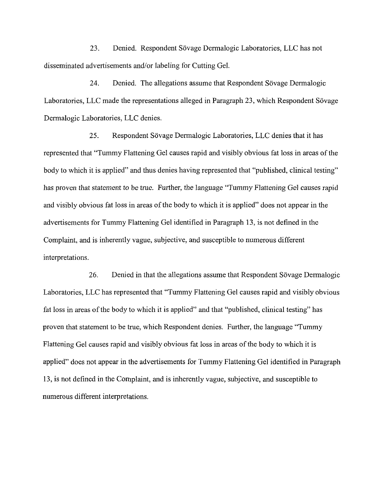23. Denied. Respondent Sövage Dermalogic Laboratories, LLC has not disseminated advertisements and/or labeling for Cutting Gel.

24. Denied. The allegations assume that Respondent Sövage Dermalogic Laboratories, LLC made the representations alleged in Paragraph 23, which Respondent Sövage Dermalogic Laboratories, LLC denies.

25. Respondent Sövage Dermalogic Laboratories, LLC denies that it has represented that "Tummy Flattening Gel causes rapid and visibly obvious fat loss in areas of the body to which it is applied" and thus denies having represented that "published, clinical testing" has proven that statement to be true. Further, the language "Tummy Flattening Gel causes rapid and visibly obvious fat loss in areas of the body to which it is applied" does not appear in the advertisements for Tummy Flattening Gel identified in Paragraph 13, is not defined in the Complaint, and is inherently vague, subjective, and susceptible to numerous different interpretations.

26. Denied in that the allegations assume that Respondent Sövage Dermalogic Laboratories, LLC has represented that "Tummy Flattening Gel causes rapid and visibly obvious fat loss in areas of the body to which it is applied" and that "published, clinical testing" has proven that statement to be true, which Respondent denies. Further, the language "Tummy Flattening Gel causes rapid and visibly obvious fat loss in areas of the body to which it is applied" does not appear in the advertisements for Tummy Flattening Gel identified in Paragraph 13, is not defined in the Complaint, and is inherently vague, subjective, and susceptible to numerous different interpretations.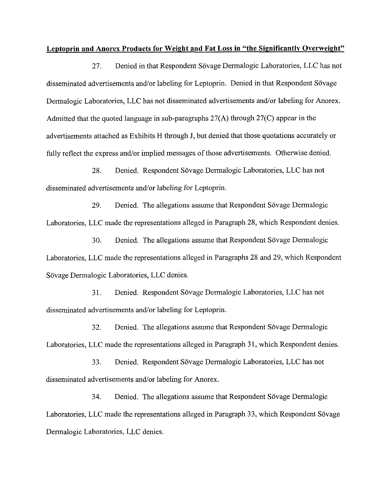### **Leptoprin and Anorex Products for Weight and Fat Loss in "the Significantly Overweight"**

27. Denied in that Respondent Sovage Dermalogic Laboratories, LLC has not disseminated advertisements and/or labeling for Leptoprin. Denied in that Respondent Sövage Dermalogic Laboratories, LLC has not disseminated advertisements and/or labeling for Anorex. Admitted that the quoted language in sub-paragraphs 27(A) through 27(C) appear in the advertisements attached as Exhibits H through J, but denied that those quotations accurately or fully reflect the express and/or implied messages of those advertisements. Otherwise denied.

28. Denied. Respondent Sövage Dermalogic Laboratories, LLC has not disseminated advertisements and/or labeling for Leptoprin.

29. Denied. The allegations assume that Respondent Sövage Dermalogic Laboratories, LLC made the representations alleged in Paragraph 28, which Respondent denies.

*30.* Denied. The allegations assume that Respondent Sovage Dermalogic Laboratories, LLC made the representations alleged in Paragraphs 28 and 29, which Respondent Sövage Dermalogic Laboratories, LLC denies.

31. Denied. Respondent Sovage Dermalogic Laboratories, LLC has not disseminated advertisements and/or labeling for Leptoprin.

32. Denied. The allegations assume that Respondent Sövage Dermalogic Laboratories, LLC made the representations alleged in Paragraph 31, which Respondent denies.

33. Denied. Respondent Sövage Dermalogic Laboratories, LLC has not disseminated advertisements and/or labeling for Anorex.

34. Denied. The allegations assume that Respondent Sövage Dermalogic Laboratories, LLC made the representations alleged in Paragraph 33, which Respondent Sövage Dermalogic Laboratories, LLC denies.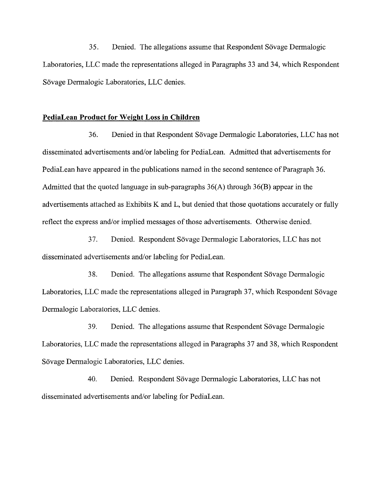35. Denied. The allegations assume that Respondent Sövage Dermalogic Laboratories, LLC made the representations alleged in Paragraphs 33 and 34, which Respondent Sövage Dermalogic Laboratories, LLC denies.

## **PediaLean Product for Weight Loss in Children**

36. Denied in that Respondent Sovage Dermalogic Laboratories, LLC has not disseminated advertisements and/or labeling for PediaLean. Admitted that advertisements for PediaLean have appeared in the publications named in the second sentence of Paragraph 36. Admitted that the quoted language in sub-paragraphs 36(A) through 36(B) appear in the advertisements attached as Exhibits K and L, but denied that those quotations accurately or hlly reflect the express and/or implied messages of those advertisements. Otherwise denied.

37. Denied. Respondent Sovage Dermalogic Laboratories, LLC has not disseminated advertisements and/or labeling for PediaLean.

38. Denied. The allegations assume that Respondent Sövage Dermalogic Laboratories, LLC made the representations alleged in Paragraph 37, which Respondent Sövage Dermalogic Laboratories, LLC denies.

39. Denied. The allegations assume that Respondent Sövage Dermalogic Laboratories, LLC made the representations alleged in Paragraphs 37 and 38, which Respondent Sövage Dermalogic Laboratories, LLC denies.

40. Denied. Respondent Sövage Dermalogic Laboratories, LLC has not disseminated advertisements and/or labeling for PediaLean.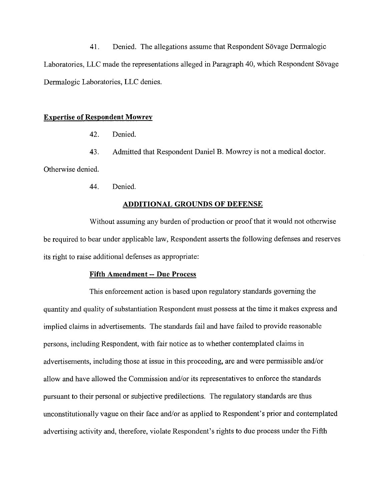41. Denied. The allegations assume that Respondent Sövage Dermalogic Laboratories, LLC made the representations alleged in Paragraph 40, which Respondent Sövage Dermalogic Laboratories, LLC denies.

## **Expertise of Respondent Mowrev**

42. Denied.

43. Admitted that Respondent Daniel B. Mowrey is not a medical doctor.

Otherwise denied.

44. Denied.

## **ADDITIONAL GROUNDS OF DEFENSE**

Without assuming any burden of production or proof that it would not otherwise be required to bear under applicable law, Respondent asserts the following defenses and reserves its right to raise additional defenses as appropriate:

## **Fifth Amendment -- Due Process**

This enforcement action is based upon regulatory standards governing the quantity and quality of substantiation Respondent must possess at the time it makes express and implied claims in advertisements. The standards fail and have failed to provide reasonable persons, including Respondent, with fair notice as to whether contemplated claims in advertisements, including those at issue in this proceeding, are and were permissible and/or allow and have allowed the Commission and/or its representatives to enforce the standards pursuant to their personal or subjective predilections. The regulatory standards are thus unconstitutionally vague on their face and/or as applied to Respondent's prior and contemplated advertising activity and, therefore, violate Respondent's rights to due process under the Fifth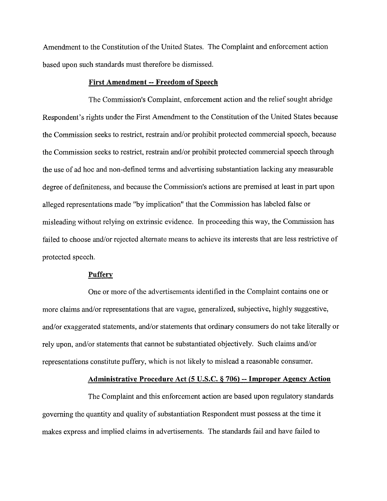Amendment to the Constitution of the United States. The Complaint and enforcement action based upon such standards must therefore be dismissed.

#### **First Amendment** -- **Freedom of Speech**

The Commission's Complaint, enforcement action and the relief sought abridge Respondent's rights under the First Amendment to the Constitution of the United States because the Commission seeks to restrict, restrain and/or prohibit protected commercial speech, because the Commission seeks to restrict, restrain and/or prohibit protected commercial speech through the use of ad hoc and non-defined terns and advertising substantiation lacking any measurable degree of definiteness, and because the Commission's actions are premised at least in part upon alleged representations made "by implication" that the Commission has labeled false or misleading without relying on extrinsic evidence. In proceeding this way, the Commission has failed to choose and/or rejected alternate means to achieve its interests that are less restrictive of protected speech.

#### **Pufferv**

One or more of the advertisements identified in the Complaint contains one or more claims and/or representations that are vague, generalized, subjective, highly suggestive, and/or exaggerated statements, and/or statements that ordinary consumers do not take literally or rely upon, and/or statements that cannot be substantiated objectively. Such claims and/or representations constitute puffery, which is not likely to mislead a reasonable consumer.

#### **Administrative Procedure Act (5 U.S.C. 6 706)** -- **Improoer Agencv Action**

The Complaint and this enforcement action are based upon regulatory standards governing the quantity and quality of substantiation Respondent must possess at the time it makes express and implied claims in advertisements. The standards fail and have failed to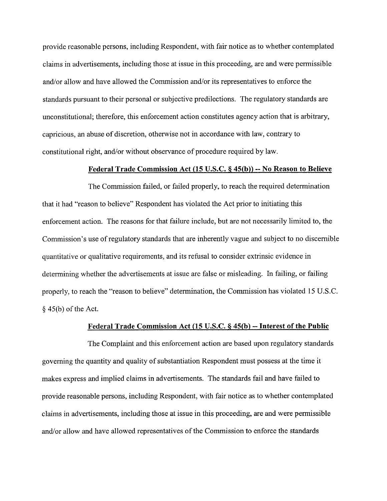provide reasonable persons, including Respondent, with fair notice as to whether contemplated claims in advertisements, including those at issue in this proceeding, are and were permissible and/or allow and have allowed the Commission and/or its representatives to enforce the standards pursuant to their personal or subjective predilections. The regulatory standards are unconstitutional; therefore, this enforcement action constitutes agency action that is arbitrary, capricious, an abuse of discretion, otherwise not in accordance with law, contrary to constitutional right, and/or without observance of procedure required by law.

## **Federal Trade Commission Act (15 U.S.C. 6 45(b))** -- **No Reason to Believe**

The Commission failed, or failed properly, to reach the required determination that it had "reason to believe" Respondent has violated the Act prior to initiating this enforcement action. The reasons for that failure include, but are not necessarily limited to, the Commission's use of regulatory standards that are inherently vague and subject to no discernible quantitative or qualitative requirements, and its refusal to consider extrinsic evidence in determining whether the advertisements at issue are false or misleading. In failing, or failing properly, to reach the "reason to believe" determination, the Commission has violated 15 U.S.C. *5* 45(b) of the Act.

## **Federal Trade Commission Act (15 U.S.C. 6 45(b)** -- **Interest of the Public**

The Complaint and this enforcement action are based upon regulatory standards governing the quantity and quality of substantiation Respondent must possess at the time it makes express and implied claims in advertisements. The standards fail and have failed to provide reasonable persons, including Respondent, with fair notice as to whether contemplated claims in advertisements, including those at issue in this proceeding, are and were permissible and/or allow and have allowed representatives of the Commission to enforce the standards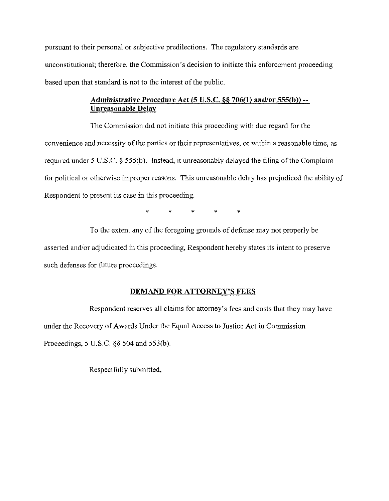pursuant to their personal or subjective predilections. The regulatory standards are unconstitutional; therefore, the Commission's decision to initiate this enforcement proceeding based upon that standard is not to the interest of the public.

## Administrative Procedure Act (5 U.S.C. **66 706(1)** and/or 555(b)) -- Unreasonable Delay

The Commission did not initiate this proceeding with due regard for the convenience and necessity of the parties or their representatives, or within a reasonable time, as required under 5 U.S.C. § 555(b). Instead, it unreasonably delayed the filing of the Complaint for political or otherwise improper reasons. This unreasonable delay has prejudiced the ability of Respondent to present its case in this proceeding.

\* \* \* \* \*

To the extent any of the foregoing grounds of defense may not properly be asserted and/or adjudicated in this proceeding, Respondent hereby states its intent to preserve such defenses for future proceedings.

## DEMAND FOR ATTORNEY'S FEES

Respondent reserves all claims for attorney's fees and costs that they may have under the Recovery of Awards Under the Equal Access to Justice Act in Commission Proceedings, 5 U.S.C. *\$5* 504 and 553(b).

Respectfully submitted,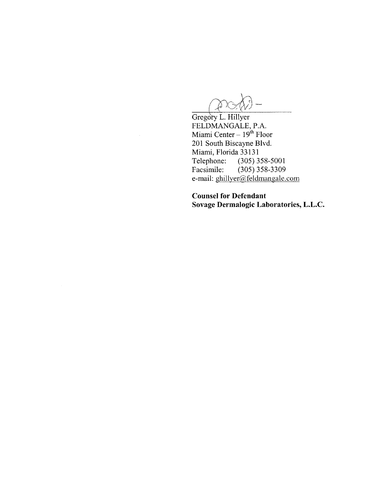$\Delta$  X

FELDMANGALE, P.A.<br>Miami Center – 19<sup>th</sup> Floor 201 South Biscayne Blvd. Miami, Florida 33131<br>Telephone: (305) 3 Telephone: (305) 358-5001<br>Facsimile: (305) 358-3309  $(305)$  358-3309 e-mail: ghillyer@,feldmangale.com

**Counsel for Defendant Sovage Dermalogic Laboratories, L.L.C.**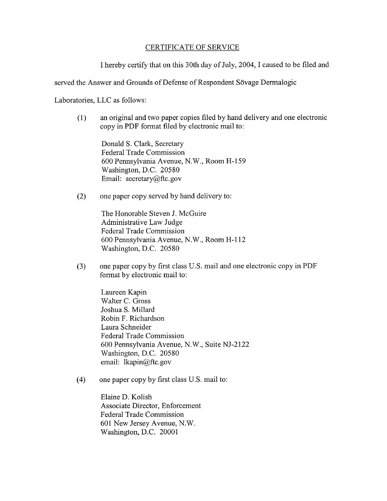## CERTIFICATE OF SERVICE

I hereby certify that on this 30th day of July, 2004, I caused to be filed and

served the Answer and Grounds of Defense of Respondent Sövage Dermalogic

Laboratories, LLC as follows:

(1) an original and two paper copies filed by hand delivery and one electronic copy in PDF format filed by electronic mail to:

Donald S. Clark, Secretary Federal Trade Commission 600 Pennsylvania Avenue, N.W., Room H-159 Washington, D.C. 20580 Email: secretary@ftc.gov

(2) one paper copy served by hand delivery to:

The Honorable Steven J. McGuire Administrative Law Judge Federal Trade Commission 600 Pennsylvania Avenue, N.W., Room H-112 Washington, D.C. 20580

(3) one paper copy by first class US. mail and one electronic copy in PDF format by electronic mail to:

Laureen Kapin Walter C. Gross Joshua S. Millard Robin F. Richardson Laura Schneider Federal Trade Commission 600 Pennsylvania Avenue, N.W., Suite NJ-2122 Washington, D.C. 20580 email: lkapin@ftc.gov

(4) one paper copy by first class U.S. mail to:

Elaine D. Kolish Associate Director, Enforcement Federal Trade Commission 601 New Jersey Avenue, N.W. Washington, D.C. 20001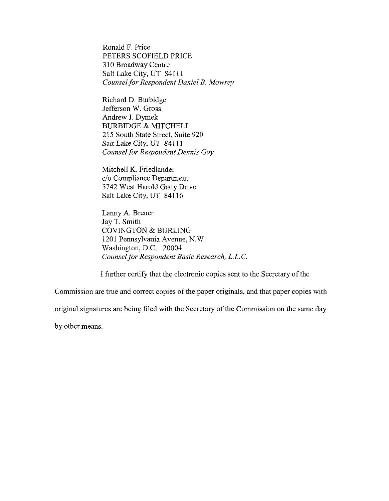Ronald F. Price PETERS SCOFIELD PRICE **3** 10 Broadway Centre Salt Lake City, UT 841 11 *Counsel for Respondent Daniel B. Mowrey* 

Richard D. Burbidge Jefferson W. Gross Andrew J. Dymek BURBIDGE & MITCHELL 215 South State Street, Suite 920 Salt Lake City, UT 84111 *Counsel for Respondent Dennis Gay* 

Mitchell K. Friedlander c/o Compliance Department 5742 West Harold Gatty Drive Salt Lake City, UT 84116

Lanny A. Breuer Jay T. Smith COVINGTON & BURLING 1201 Pennsylvania Avenue, N.W. Washington, D.C. 20004 *Counsel for Respondent Basic Research, L.L.C.* 

1 further certify that the electronic copies sent to the Secretary of the

Commission are true and correct copies of the paper originals, and that paper copies with

original signatures are being filed with the Secretary of the Commission on the same day

by other means.